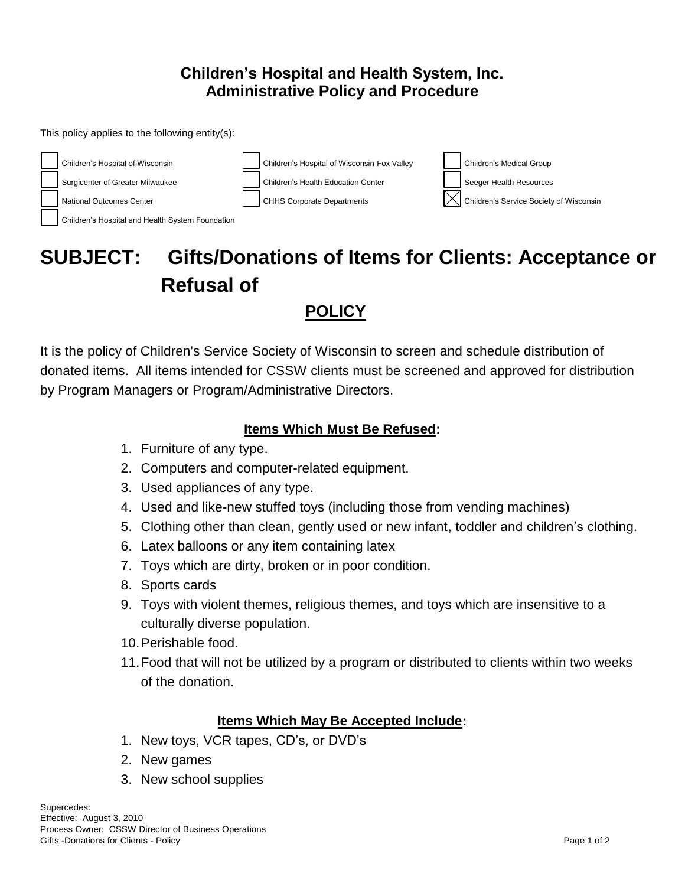## **Children's Hospital and Health System, Inc. Administrative Policy and Procedure**

This policy applies to the following entity(s):



# **SUBJECT: Gifts/Donations of Items for Clients: Acceptance or Refusal of**

# **POLICY**

It is the policy of Children's Service Society of Wisconsin to screen and schedule distribution of donated items. All items intended for CSSW clients must be screened and approved for distribution by Program Managers or Program/Administrative Directors.

#### **Items Which Must Be Refused:**

- 1. Furniture of any type.
- 2. Computers and computer-related equipment.
- 3. Used appliances of any type.
- 4. Used and like-new stuffed toys (including those from vending machines)
- 5. Clothing other than clean, gently used or new infant, toddler and children's clothing.
- 6. Latex balloons or any item containing latex
- 7. Toys which are dirty, broken or in poor condition.
- 8. Sports cards
- 9. Toys with violent themes, religious themes, and toys which are insensitive to a culturally diverse population.
- 10.Perishable food.
- 11.Food that will not be utilized by a program or distributed to clients within two weeks of the donation.

#### **Items Which May Be Accepted Include:**

- 1. New toys, VCR tapes, CD's, or DVD's
- 2. New games
- 3. New school supplies

Supercedes: Effective: August 3, 2010 Process Owner: CSSW Director of Business Operations Gifts -Donations for Clients - Policy **Page 1 of 2** and 2 of 2